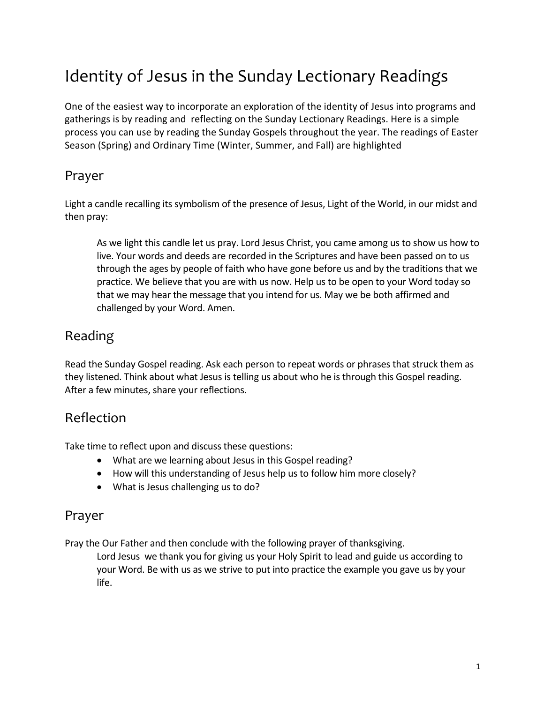# Identity of Jesus in the Sunday Lectionary Readings

One of the easiest way to incorporate an exploration of the identity of Jesus into programs and gatherings is by reading and reflecting on the Sunday Lectionary Readings. Here is a simple process you can use by reading the Sunday Gospels throughout the year. The readings of Easter Season (Spring) and Ordinary Time (Winter, Summer, and Fall) are highlighted

#### Prayer

Light a candle recalling its symbolism of the presence of Jesus, Light of the World, in our midst and then pray:

As we light this candle let us pray. Lord Jesus Christ, you came among us to show us how to live. Your words and deeds are recorded in the Scriptures and have been passed on to us through the ages by people of faith who have gone before us and by the traditions that we practice. We believe that you are with us now. Help us to be open to your Word today so that we may hear the message that you intend for us. May we be both affirmed and challenged by your Word. Amen.

#### Reading

Read the Sunday Gospel reading. Ask each person to repeat words or phrases that struck them as they listened. Think about what Jesus is telling us about who he is through this Gospel reading. After a few minutes, share your reflections.

#### Reflection

Take time to reflect upon and discuss these questions:

- What are we learning about Jesus in this Gospel reading?
- How will this understanding of Jesus help us to follow him more closely?
- What is Jesus challenging us to do?

#### Prayer

Pray the Our Father and then conclude with the following prayer of thanksgiving.

Lord Jesus we thank you for giving us your Holy Spirit to lead and guide us according to your Word. Be with us as we strive to put into practice the example you gave us by your life.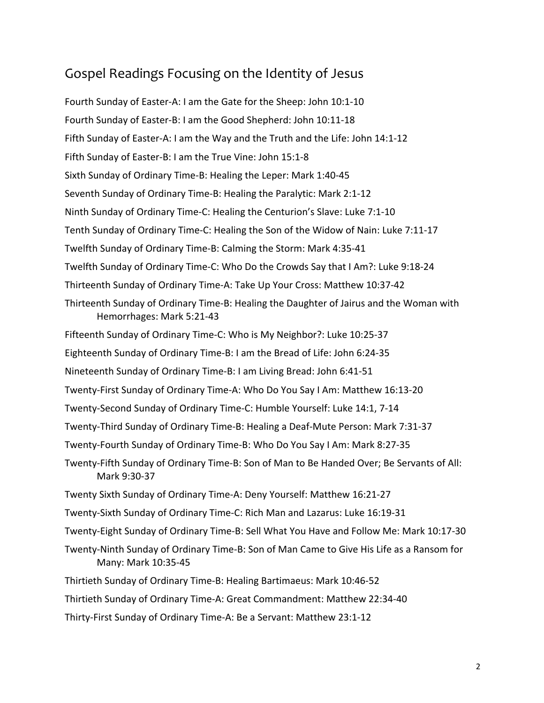#### Gospel Readings Focusing on the Identity of Jesus

Fourth Sunday of Easter-A: I am the Gate for the Sheep: John 10:1-10 Fourth Sunday of Easter-B: I am the Good Shepherd: John 10:11-18 Fifth Sunday of Easter-A: I am the Way and the Truth and the Life: John 14:1-12 Fifth Sunday of Easter-B: I am the True Vine: John 15:1-8 Sixth Sunday of Ordinary Time-B: Healing the Leper: Mark 1:40-45 Seventh Sunday of Ordinary Time-B: Healing the Paralytic: Mark 2:1-12 Ninth Sunday of Ordinary Time-C: Healing the Centurion's Slave: Luke 7:1-10 Tenth Sunday of Ordinary Time-C: Healing the Son of the Widow of Nain: Luke 7:11-17 Twelfth Sunday of Ordinary Time-B: Calming the Storm: Mark 4:35-41 Twelfth Sunday of Ordinary Time-C: Who Do the Crowds Say that I Am?: Luke 9:18-24 Thirteenth Sunday of Ordinary Time-A: Take Up Your Cross: Matthew 10:37-42 Thirteenth Sunday of Ordinary Time-B: Healing the Daughter of Jairus and the Woman with Hemorrhages: Mark 5:21-43 Fifteenth Sunday of Ordinary Time-C: Who is My Neighbor?: Luke 10:25-37 Eighteenth Sunday of Ordinary Time-B: I am the Bread of Life: John 6:24-35 Nineteenth Sunday of Ordinary Time-B: I am Living Bread: John 6:41-51 Twenty-First Sunday of Ordinary Time-A: Who Do You Say I Am: Matthew 16:13-20 Twenty-Second Sunday of Ordinary Time-C: Humble Yourself: Luke 14:1, 7-14 Twenty-Third Sunday of Ordinary Time-B: Healing a Deaf-Mute Person: Mark 7:31-37 Twenty-Fourth Sunday of Ordinary Time-B: Who Do You Say I Am: Mark 8:27-35 Twenty-Fifth Sunday of Ordinary Time-B: Son of Man to Be Handed Over; Be Servants of All: Mark 9:30-37 Twenty Sixth Sunday of Ordinary Time-A: Deny Yourself: Matthew 16:21-27 Twenty-Sixth Sunday of Ordinary Time-C: Rich Man and Lazarus: Luke 16:19-31 Twenty-Eight Sunday of Ordinary Time-B: Sell What You Have and Follow Me: Mark 10:17-30 Twenty-Ninth Sunday of Ordinary Time-B: Son of Man Came to Give His Life as a Ransom for Many: Mark 10:35-45 Thirtieth Sunday of Ordinary Time-B: Healing Bartimaeus: Mark 10:46-52 Thirtieth Sunday of Ordinary Time-A: Great Commandment: Matthew 22:34-40 Thirty-First Sunday of Ordinary Time-A: Be a Servant: Matthew 23:1-12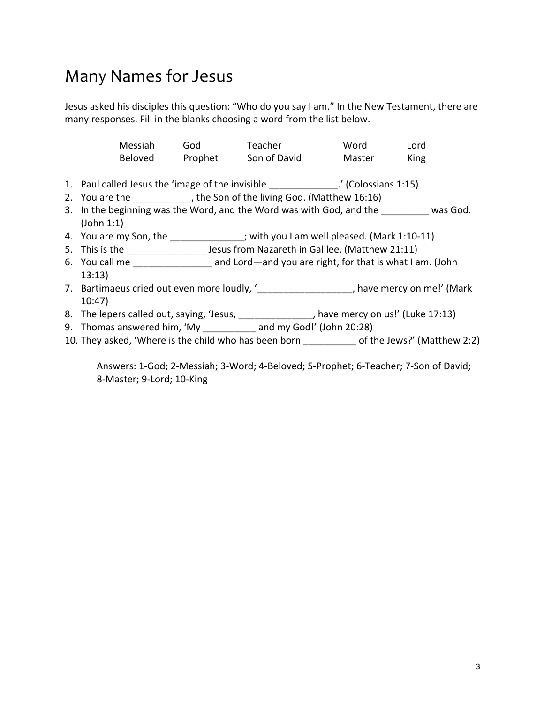### Many Names for Jesus

Jesus asked his disciples this question: "Who do you say I am." In the New Testament, there are many responses. Fill in the blanks choosing a word from the list below.

| Messiah        | God     | Teacher      | Word   | Lord |
|----------------|---------|--------------|--------|------|
| <b>Beloved</b> | Prophet | Son of David | Master | King |

- 1. Paul called Jesus the 'image of the invisible (Colossians 1:15)
- 2. You are the  $\qquad \qquad$ , the Son of the living God. (Matthew 16:16)
- 3. In the beginning was the Word, and the Word was with God, and the was God. (John 1:1)
- 4. You are my Son, the \_\_\_\_\_\_\_\_\_\_\_\_\_\_; with you I am well pleased. (Mark 1:10-11)
- 5. This is the \_\_\_\_\_\_\_\_\_\_\_\_\_\_\_\_\_\_\_\_\_ Jesus from Nazareth in Galilee. (Matthew 21:11)
- 6. You call me \_\_\_\_\_\_\_\_\_\_\_\_\_\_\_ and Lord—and you are right, for that is what I am. (John 13:13)
- 7. Bartimaeus cried out even more loudly, '<sub>c</sub> and the series on me!' (Mark 10:47)
- 8. The lepers called out, saying, 'Jesus, \_\_\_\_\_\_\_\_\_\_\_\_\_\_, have mercy on us!' (Luke 17:13)
- 9. Thomas answered him, 'My \_\_\_\_\_\_\_\_\_\_\_ and my God!' (John 20:28)
- 10. They asked, 'Where is the child who has been born \_\_\_\_\_\_\_\_\_\_ of the Jews?' (Matthew 2:2)

Answers: 1-God; 2-Messiah; 3-Word; 4-Beloved; 5-Prophet; 6-Teacher; 7-Son of David; 8-Master; 9-Lord; 10-King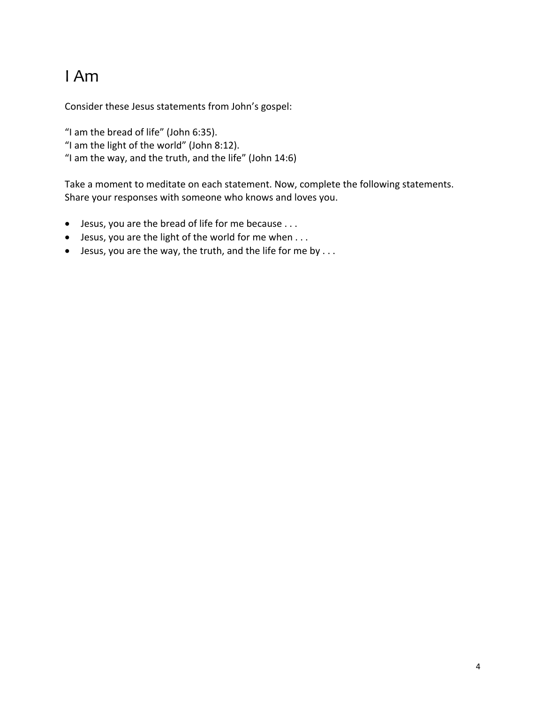# I Am

Consider these Jesus statements from John's gospel:

"I am the bread of life" (John 6:35). "I am the light of the world" (John 8:12). "I am the way, and the truth, and the life" (John 14:6)

Take a moment to meditate on each statement. Now, complete the following statements. Share your responses with someone who knows and loves you.

- Jesus, you are the bread of life for me because . . .
- Jesus, you are the light of the world for me when . . .
- $\bullet$  Jesus, you are the way, the truth, and the life for me by ...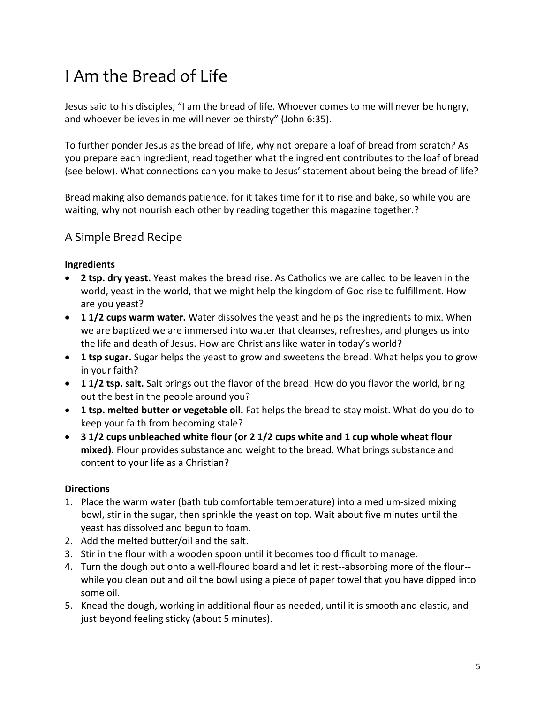# I Am the Bread of Life

Jesus said to his disciples, "I am the bread of life. Whoever comes to me will never be hungry, and whoever believes in me will never be thirsty" (John 6:35).

To further ponder Jesus as the bread of life, why not prepare a loaf of bread from scratch? As you prepare each ingredient, read together what the ingredient contributes to the loaf of bread (see below). What connections can you make to Jesus' statement about being the bread of life?

Bread making also demands patience, for it takes time for it to rise and bake, so while you are waiting, why not nourish each other by reading together this magazine together.?

#### A Simple Bread Recipe

#### **Ingredients**

- **2 tsp. dry yeast.** Yeast makes the bread rise. As Catholics we are called to be leaven in the world, yeast in the world, that we might help the kingdom of God rise to fulfillment. How are you yeast?
- **1 1/2 cups warm water.** Water dissolves the yeast and helps the ingredients to mix. When we are baptized we are immersed into water that cleanses, refreshes, and plunges us into the life and death of Jesus. How are Christians like water in today's world?
- **1 tsp sugar.** Sugar helps the yeast to grow and sweetens the bread. What helps you to grow in your faith?
- **1 1/2 tsp. salt.** Salt brings out the flavor of the bread. How do you flavor the world, bring out the best in the people around you?
- **1 tsp. melted butter or vegetable oil.** Fat helps the bread to stay moist. What do you do to keep your faith from becoming stale?
- **3 1/2 cups unbleached white flour (or 2 1/2 cups white and 1 cup whole wheat flour mixed).** Flour provides substance and weight to the bread. What brings substance and content to your life as a Christian?

#### **Directions**

- 1. Place the warm water (bath tub comfortable temperature) into a medium-sized mixing bowl, stir in the sugar, then sprinkle the yeast on top. Wait about five minutes until the yeast has dissolved and begun to foam.
- 2. Add the melted butter/oil and the salt.
- 3. Stir in the flour with a wooden spoon until it becomes too difficult to manage.
- 4. Turn the dough out onto a well-floured board and let it rest--absorbing more of the flour- while you clean out and oil the bowl using a piece of paper towel that you have dipped into some oil.
- 5. Knead the dough, working in additional flour as needed, until it is smooth and elastic, and just beyond feeling sticky (about 5 minutes).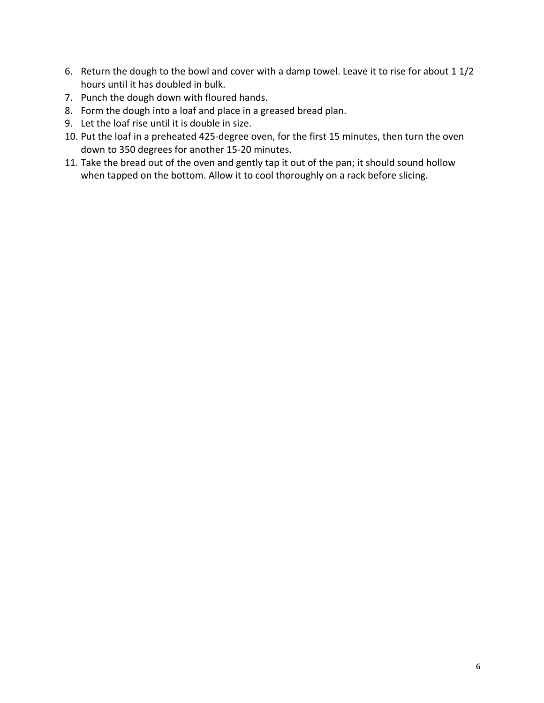- 6. Return the dough to the bowl and cover with a damp towel. Leave it to rise for about 1 1/2 hours until it has doubled in bulk.
- 7. Punch the dough down with floured hands.
- 8. Form the dough into a loaf and place in a greased bread plan.
- 9. Let the loaf rise until it is double in size.
- 10. Put the loaf in a preheated 425-degree oven, for the first 15 minutes, then turn the oven down to 350 degrees for another 15-20 minutes.
- 11. Take the bread out of the oven and gently tap it out of the pan; it should sound hollow when tapped on the bottom. Allow it to cool thoroughly on a rack before slicing.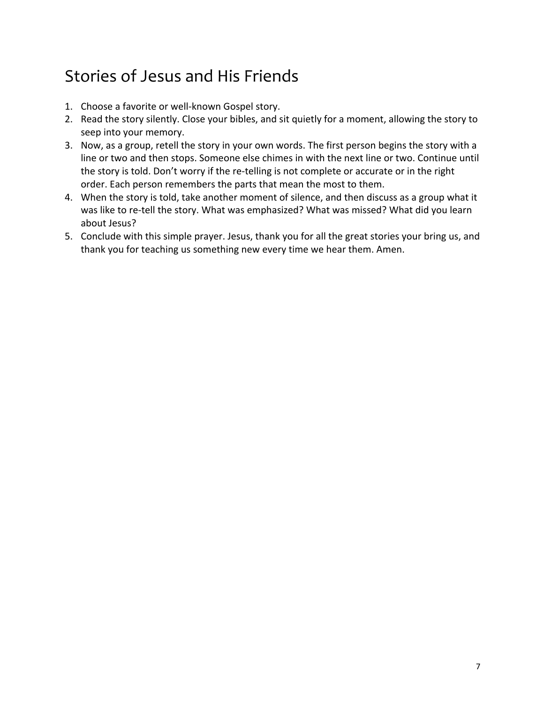# Stories of Jesus and His Friends

- 1. Choose a favorite or well-known Gospel story.
- 2. Read the story silently. Close your bibles, and sit quietly for a moment, allowing the story to seep into your memory.
- 3. Now, as a group, retell the story in your own words. The first person begins the story with a line or two and then stops. Someone else chimes in with the next line or two. Continue until the story is told. Don't worry if the re-telling is not complete or accurate or in the right order. Each person remembers the parts that mean the most to them.
- 4. When the story is told, take another moment of silence, and then discuss as a group what it was like to re-tell the story. What was emphasized? What was missed? What did you learn about Jesus?
- 5. Conclude with this simple prayer. Jesus, thank you for all the great stories your bring us, and thank you for teaching us something new every time we hear them. Amen.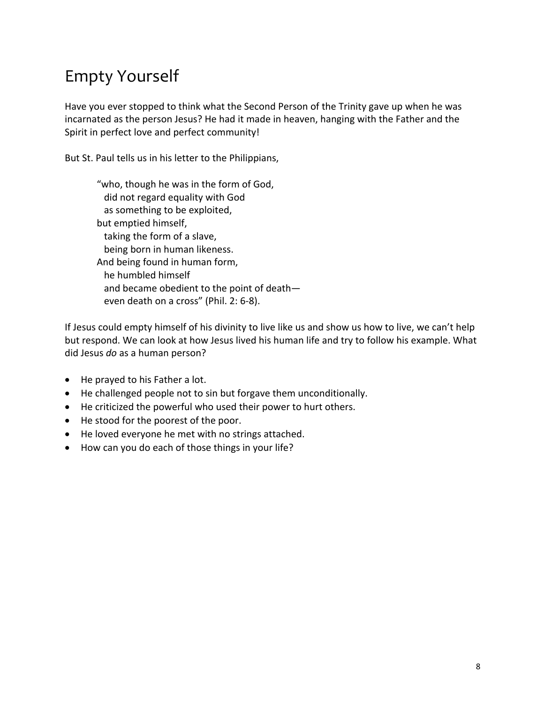# Empty Yourself

Have you ever stopped to think what the Second Person of the Trinity gave up when he was incarnated as the person Jesus? He had it made in heaven, hanging with the Father and the Spirit in perfect love and perfect community!

But St. Paul tells us in his letter to the Philippians,

"who, though he was in the form of God, did not regard equality with God as something to be exploited, but emptied himself, taking the form of a slave, being born in human likeness. And being found in human form, he humbled himself and became obedient to the point of death even death on a cross" (Phil. 2: 6-8).

If Jesus could empty himself of his divinity to live like us and show us how to live, we can't help but respond. We can look at how Jesus lived his human life and try to follow his example. What did Jesus *do* as a human person?

- He prayed to his Father a lot.
- He challenged people not to sin but forgave them unconditionally.
- He criticized the powerful who used their power to hurt others.
- He stood for the poorest of the poor.
- He loved everyone he met with no strings attached.
- How can you do each of those things in your life?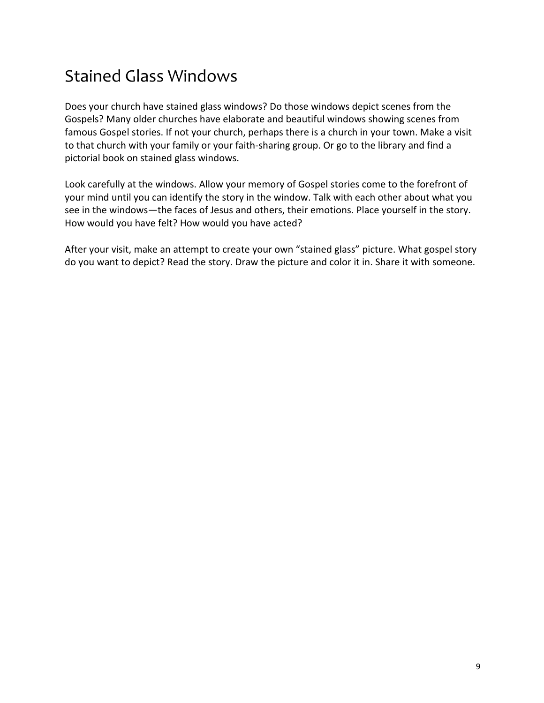## Stained Glass Windows

Does your church have stained glass windows? Do those windows depict scenes from the Gospels? Many older churches have elaborate and beautiful windows showing scenes from famous Gospel stories. If not your church, perhaps there is a church in your town. Make a visit to that church with your family or your faith-sharing group. Or go to the library and find a pictorial book on stained glass windows.

Look carefully at the windows. Allow your memory of Gospel stories come to the forefront of your mind until you can identify the story in the window. Talk with each other about what you see in the windows—the faces of Jesus and others, their emotions. Place yourself in the story. How would you have felt? How would you have acted?

After your visit, make an attempt to create your own "stained glass" picture. What gospel story do you want to depict? Read the story. Draw the picture and color it in. Share it with someone.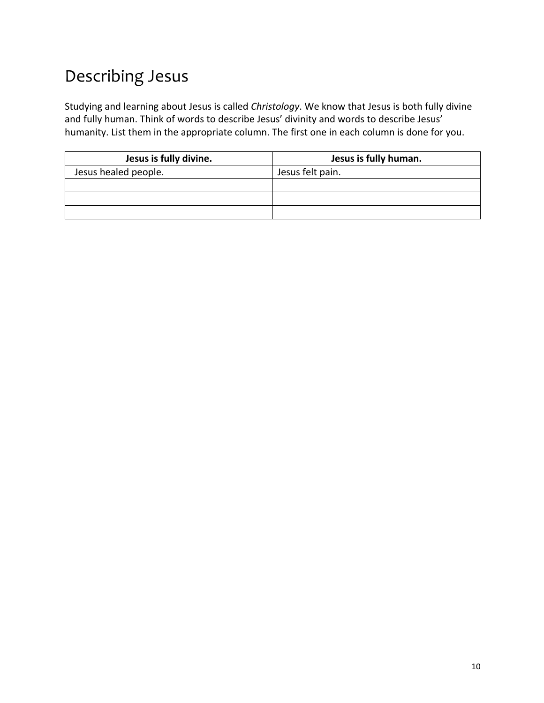# Describing Jesus

Studying and learning about Jesus is called *Christology*. We know that Jesus is both fully divine and fully human. Think of words to describe Jesus' divinity and words to describe Jesus' humanity. List them in the appropriate column. The first one in each column is done for you.

| Jesus is fully divine. | Jesus is fully human. |  |  |
|------------------------|-----------------------|--|--|
| Jesus healed people.   | Jesus felt pain.      |  |  |
|                        |                       |  |  |
|                        |                       |  |  |
|                        |                       |  |  |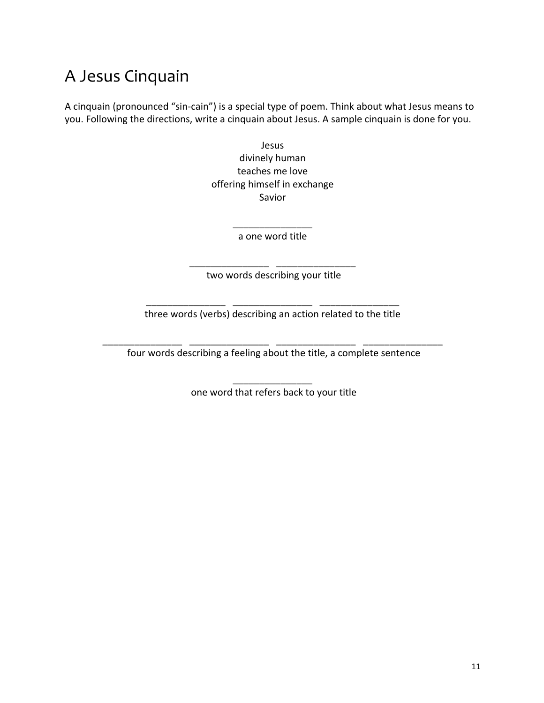## A Jesus Cinquain

A cinquain (pronounced "sin-cain") is a special type of poem. Think about what Jesus means to you. Following the directions, write a cinquain about Jesus. A sample cinquain is done for you.

> Jesus divinely human teaches me love offering himself in exchange Savior

> > $\overline{\phantom{a}}$  , where  $\overline{\phantom{a}}$ a one word title

\_\_\_\_\_\_\_\_\_\_\_\_\_\_\_ \_\_\_\_\_\_\_\_\_\_\_\_\_\_\_ two words describing your title

\_\_\_\_\_\_\_\_\_\_\_\_\_\_\_ \_\_\_\_\_\_\_\_\_\_\_\_\_\_\_ \_\_\_\_\_\_\_\_\_\_\_\_\_\_\_ three words (verbs) describing an action related to the title

\_\_\_\_\_\_\_\_\_\_\_\_\_\_\_ \_\_\_\_\_\_\_\_\_\_\_\_\_\_\_ \_\_\_\_\_\_\_\_\_\_\_\_\_\_\_ \_\_\_\_\_\_\_\_\_\_\_\_\_\_\_ four words describing a feeling about the title, a complete sentence

> \_\_\_\_\_\_\_\_\_\_\_\_\_\_\_ one word that refers back to your title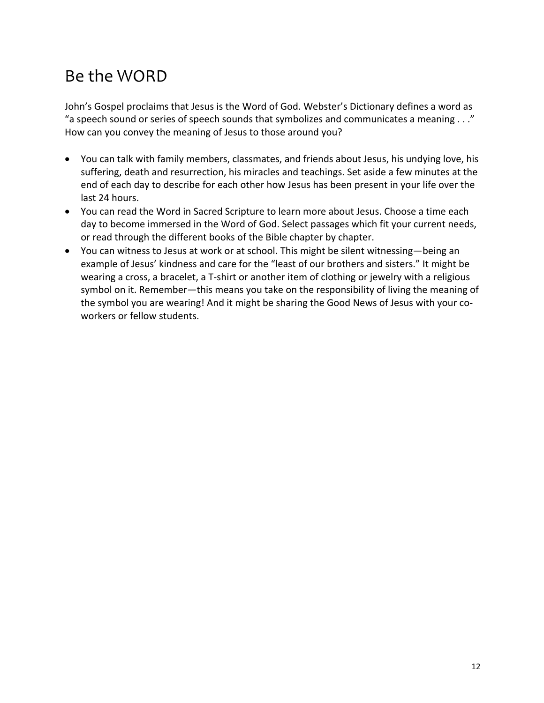# Be the WORD

John's Gospel proclaims that Jesus is the Word of God. Webster's Dictionary defines a word as "a speech sound or series of speech sounds that symbolizes and communicates a meaning . . ." How can you convey the meaning of Jesus to those around you?

- You can talk with family members, classmates, and friends about Jesus, his undying love, his suffering, death and resurrection, his miracles and teachings. Set aside a few minutes at the end of each day to describe for each other how Jesus has been present in your life over the last 24 hours.
- You can read the Word in Sacred Scripture to learn more about Jesus. Choose a time each day to become immersed in the Word of God. Select passages which fit your current needs, or read through the different books of the Bible chapter by chapter.
- You can witness to Jesus at work or at school. This might be silent witnessing—being an example of Jesus' kindness and care for the "least of our brothers and sisters." It might be wearing a cross, a bracelet, a T-shirt or another item of clothing or jewelry with a religious symbol on it. Remember—this means you take on the responsibility of living the meaning of the symbol you are wearing! And it might be sharing the Good News of Jesus with your coworkers or fellow students.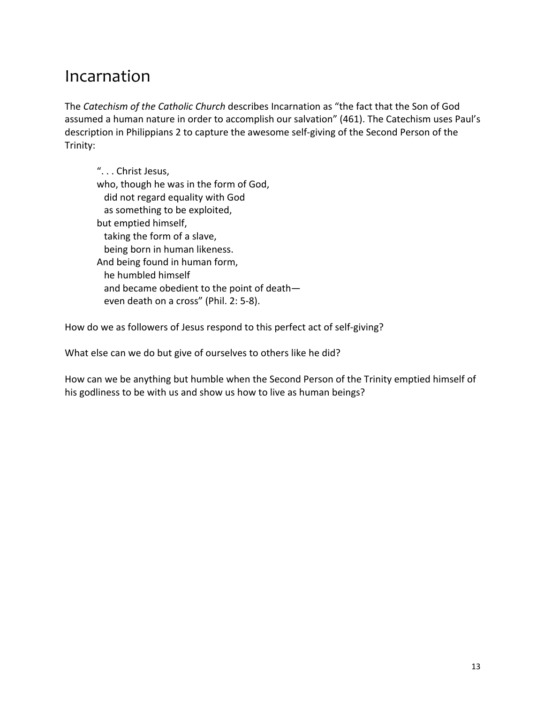#### Incarnation

The *Catechism of the Catholic Church* describes Incarnation as "the fact that the Son of God assumed a human nature in order to accomplish our salvation" (461). The Catechism uses Paul's description in Philippians 2 to capture the awesome self-giving of the Second Person of the Trinity:

". . . Christ Jesus, who, though he was in the form of God, did not regard equality with God as something to be exploited, but emptied himself, taking the form of a slave, being born in human likeness. And being found in human form, he humbled himself and became obedient to the point of death even death on a cross" (Phil. 2: 5-8).

How do we as followers of Jesus respond to this perfect act of self-giving?

What else can we do but give of ourselves to others like he did?

How can we be anything but humble when the Second Person of the Trinity emptied himself of his godliness to be with us and show us how to live as human beings?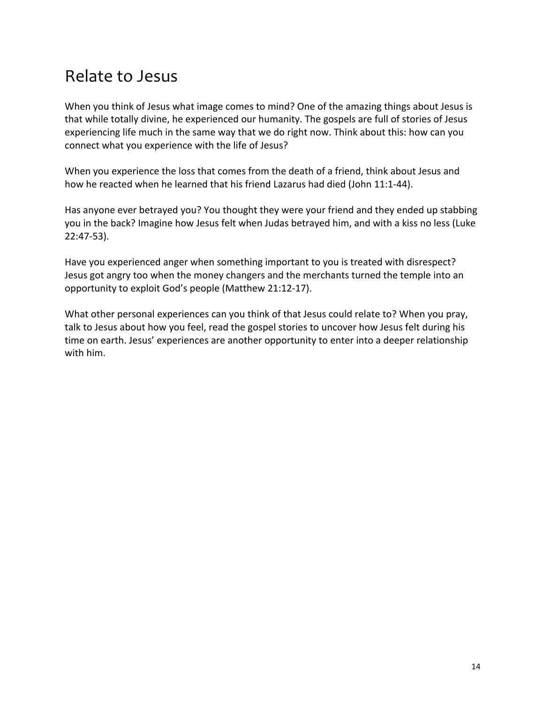#### Relate to Jesus

When you think of Jesus what image comes to mind? One of the amazing things about Jesus is that while totally divine, he experienced our humanity. The gospels are full of stories of Jesus experiencing life much in the same way that we do right now. Think about this: how can you connect what you experience with the life of Jesus?

When you experience the loss that comes from the death of a friend, think about Jesus and how he reacted when he learned that his friend Lazarus had died (John 11:1-44).

Has anyone ever betrayed you? You thought they were your friend and they ended up stabbing you in the back? Imagine how Jesus felt when Judas betrayed him, and with a kiss no less (Luke 22:47-53).

Have you experienced anger when something important to you is treated with disrespect? Jesus got angry too when the money changers and the merchants turned the temple into an opportunity to exploit God's people (Matthew 21:12-17).

What other personal experiences can you think of that Jesus could relate to? When you pray, talk to Jesus about how you feel, read the gospel stories to uncover how Jesus felt during his time on earth. Jesus' experiences are another opportunity to enter into a deeper relationship with him.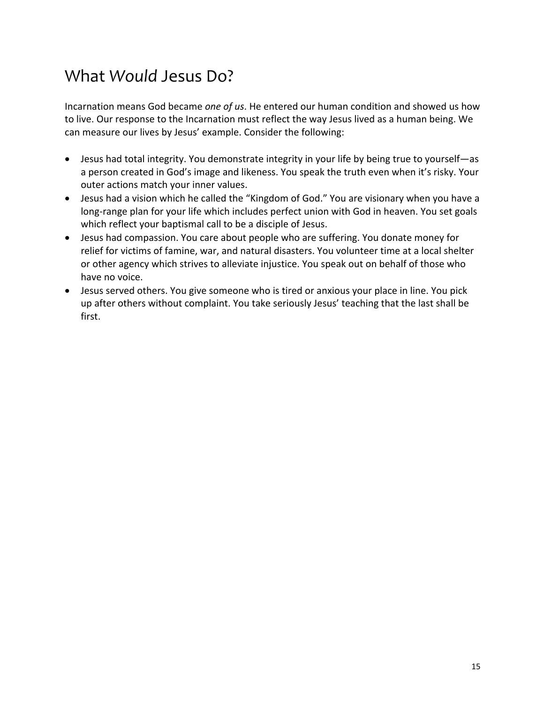### What *Would* Jesus Do?

Incarnation means God became *one of us*. He entered our human condition and showed us how to live. Our response to the Incarnation must reflect the way Jesus lived as a human being. We can measure our lives by Jesus' example. Consider the following:

- Jesus had total integrity. You demonstrate integrity in your life by being true to yourself—as a person created in God's image and likeness. You speak the truth even when it's risky. Your outer actions match your inner values.
- Jesus had a vision which he called the "Kingdom of God." You are visionary when you have a long-range plan for your life which includes perfect union with God in heaven. You set goals which reflect your baptismal call to be a disciple of Jesus.
- Jesus had compassion. You care about people who are suffering. You donate money for relief for victims of famine, war, and natural disasters. You volunteer time at a local shelter or other agency which strives to alleviate injustice. You speak out on behalf of those who have no voice.
- Jesus served others. You give someone who is tired or anxious your place in line. You pick up after others without complaint. You take seriously Jesus' teaching that the last shall be first.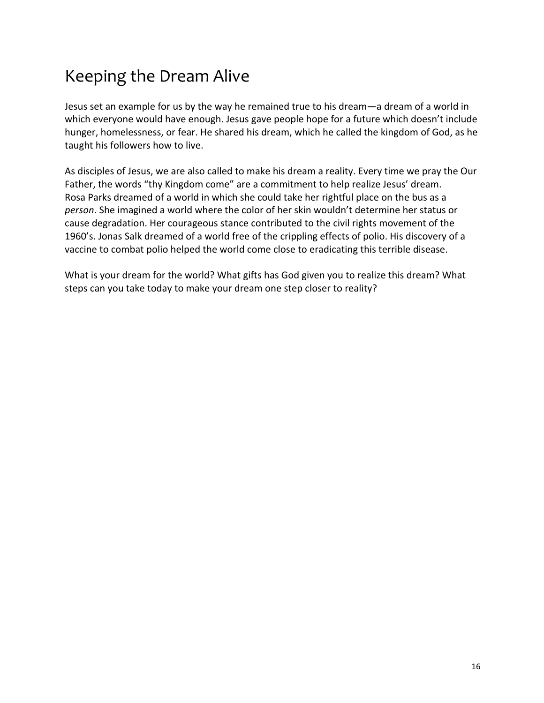# Keeping the Dream Alive

Jesus set an example for us by the way he remained true to his dream—a dream of a world in which everyone would have enough. Jesus gave people hope for a future which doesn't include hunger, homelessness, or fear. He shared his dream, which he called the kingdom of God, as he taught his followers how to live.

As disciples of Jesus, we are also called to make his dream a reality. Every time we pray the Our Father, the words "thy Kingdom come" are a commitment to help realize Jesus' dream. Rosa Parks dreamed of a world in which she could take her rightful place on the bus as a *person*. She imagined a world where the color of her skin wouldn't determine her status or cause degradation. Her courageous stance contributed to the civil rights movement of the 1960's. Jonas Salk dreamed of a world free of the crippling effects of polio. His discovery of a vaccine to combat polio helped the world come close to eradicating this terrible disease.

What is your dream for the world? What gifts has God given you to realize this dream? What steps can you take today to make your dream one step closer to reality?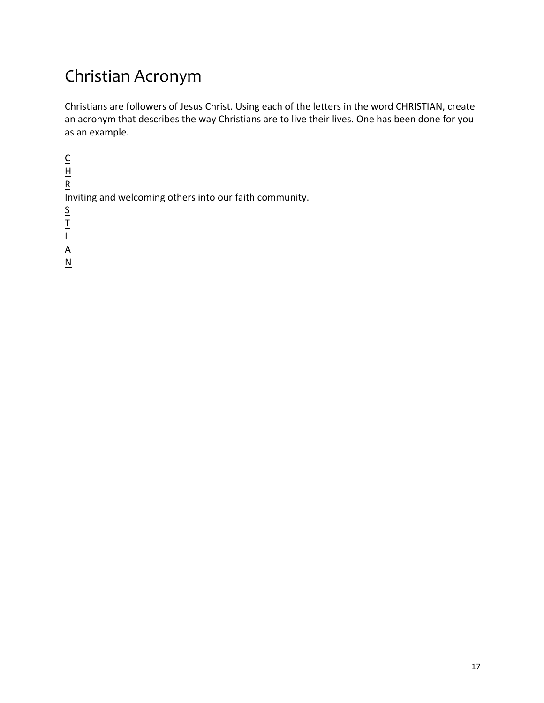# Christian Acronym

Christians are followers of Jesus Christ. Using each of the letters in the word CHRISTIAN, create an acronym that describes the way Christians are to live their lives. One has been done for you as an example.

 $\underline{\underline{C}}$  $H$ R Inviting and welcoming others into our faith community. S T I  $\underline{A}$  $\underline{\mathsf{N}}$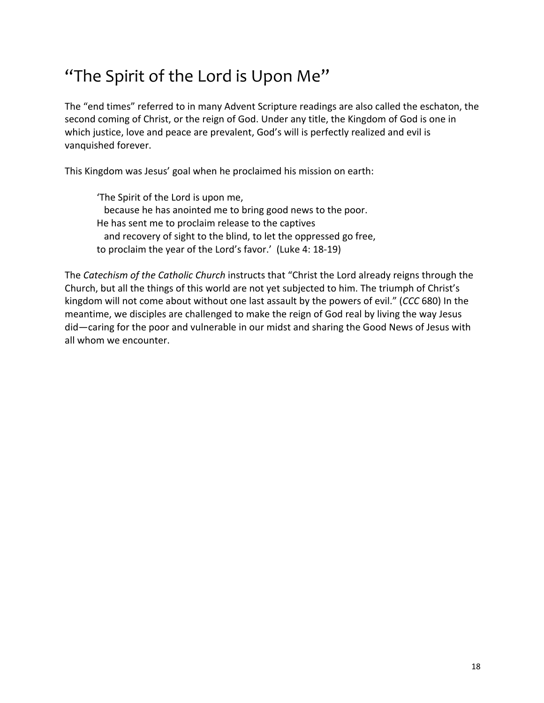# "The Spirit of the Lord is Upon Me"

The "end times" referred to in many Advent Scripture readings are also called the eschaton, the second coming of Christ, or the reign of God. Under any title, the Kingdom of God is one in which justice, love and peace are prevalent, God's will is perfectly realized and evil is vanquished forever.

This Kingdom was Jesus' goal when he proclaimed his mission on earth:

'The Spirit of the Lord is upon me, because he has anointed me to bring good news to the poor. He has sent me to proclaim release to the captives and recovery of sight to the blind, to let the oppressed go free, to proclaim the year of the Lord's favor.' (Luke 4: 18-19)

The *Catechism of the Catholic Church* instructs that "Christ the Lord already reigns through the Church, but all the things of this world are not yet subjected to him. The triumph of Christ's kingdom will not come about without one last assault by the powers of evil." (*CCC* 680) In the meantime, we disciples are challenged to make the reign of God real by living the way Jesus did—caring for the poor and vulnerable in our midst and sharing the Good News of Jesus with all whom we encounter.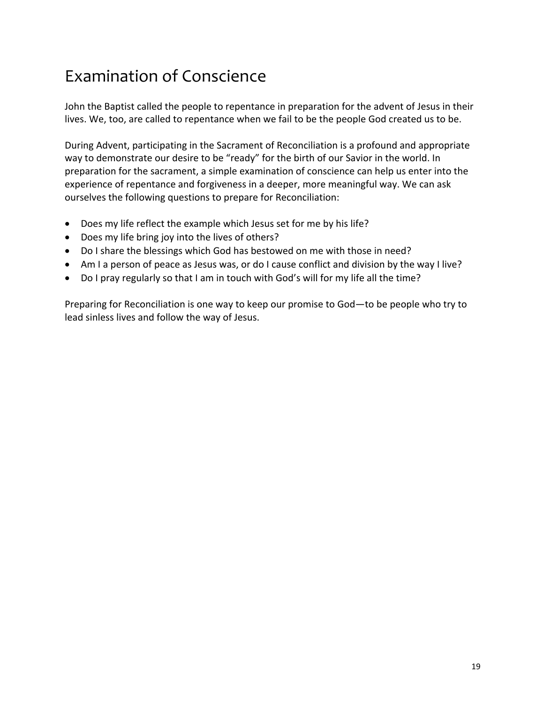# Examination of Conscience

John the Baptist called the people to repentance in preparation for the advent of Jesus in their lives. We, too, are called to repentance when we fail to be the people God created us to be.

During Advent, participating in the Sacrament of Reconciliation is a profound and appropriate way to demonstrate our desire to be "ready" for the birth of our Savior in the world. In preparation for the sacrament, a simple examination of conscience can help us enter into the experience of repentance and forgiveness in a deeper, more meaningful way. We can ask ourselves the following questions to prepare for Reconciliation:

- Does my life reflect the example which Jesus set for me by his life?
- Does my life bring joy into the lives of others?
- Do I share the blessings which God has bestowed on me with those in need?
- Am I a person of peace as Jesus was, or do I cause conflict and division by the way I live?
- Do I pray regularly so that I am in touch with God's will for my life all the time?

Preparing for Reconciliation is one way to keep our promise to God—to be people who try to lead sinless lives and follow the way of Jesus.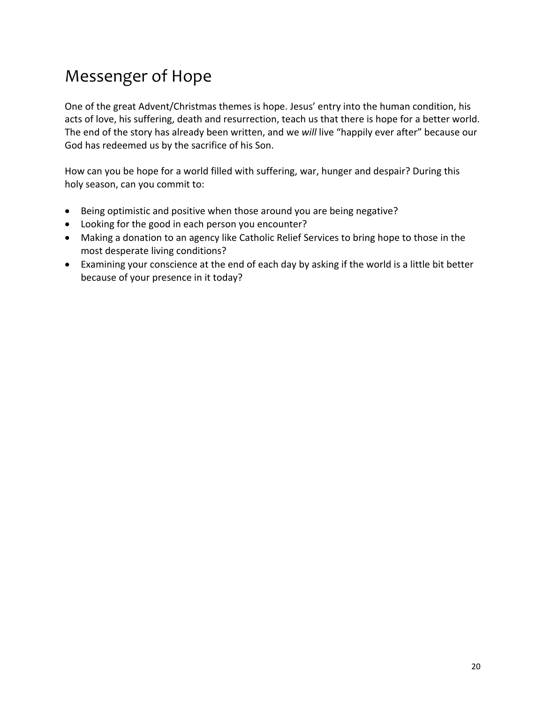# Messenger of Hope

One of the great Advent/Christmas themes is hope. Jesus' entry into the human condition, his acts of love, his suffering, death and resurrection, teach us that there is hope for a better world. The end of the story has already been written, and we *will* live "happily ever after" because our God has redeemed us by the sacrifice of his Son.

How can you be hope for a world filled with suffering, war, hunger and despair? During this holy season, can you commit to:

- Being optimistic and positive when those around you are being negative?
- Looking for the good in each person you encounter?
- Making a donation to an agency like Catholic Relief Services to bring hope to those in the most desperate living conditions?
- Examining your conscience at the end of each day by asking if the world is a little bit better because of your presence in it today?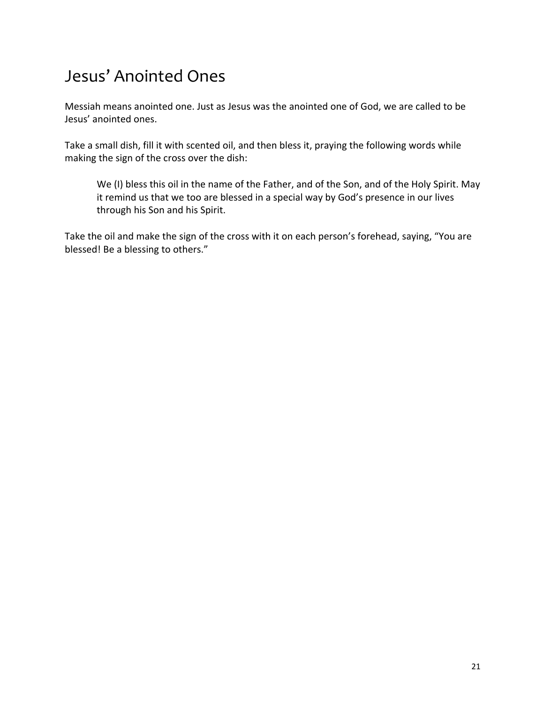# Jesus' Anointed Ones

Messiah means anointed one. Just as Jesus was the anointed one of God, we are called to be Jesus' anointed ones.

Take a small dish, fill it with scented oil, and then bless it, praying the following words while making the sign of the cross over the dish:

We (I) bless this oil in the name of the Father, and of the Son, and of the Holy Spirit. May it remind us that we too are blessed in a special way by God's presence in our lives through his Son and his Spirit.

Take the oil and make the sign of the cross with it on each person's forehead, saying, "You are blessed! Be a blessing to others."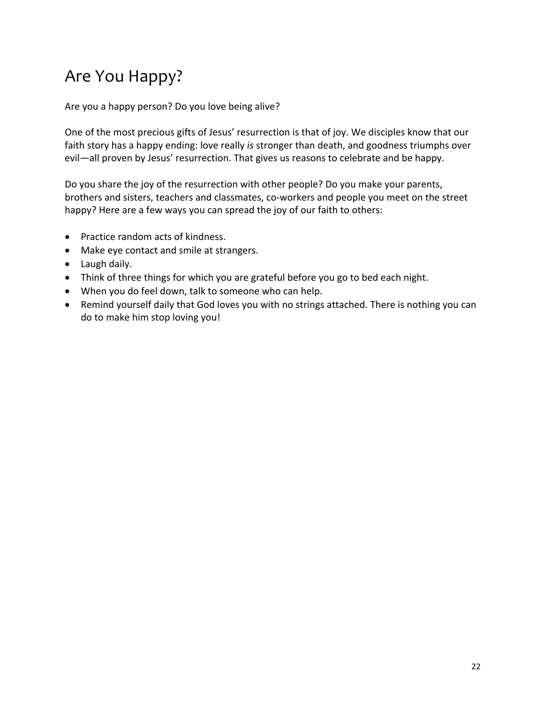# Are You Happy?

Are you a happy person? Do you love being alive?

One of the most precious gifts of Jesus' resurrection is that of joy. We disciples know that our faith story has a happy ending: love really *is* stronger than death, and goodness triumphs over evil—all proven by Jesus' resurrection. That gives us reasons to celebrate and be happy.

Do you share the joy of the resurrection with other people? Do you make your parents, brothers and sisters, teachers and classmates, co-workers and people you meet on the street happy? Here are a few ways you can spread the joy of our faith to others:

- Practice random acts of kindness.
- Make eye contact and smile at strangers.
- Laugh daily.
- Think of three things for which you are grateful before you go to bed each night.
- When you do feel down, talk to someone who can help.
- Remind yourself daily that God loves you with no strings attached. There is nothing you can do to make him stop loving you!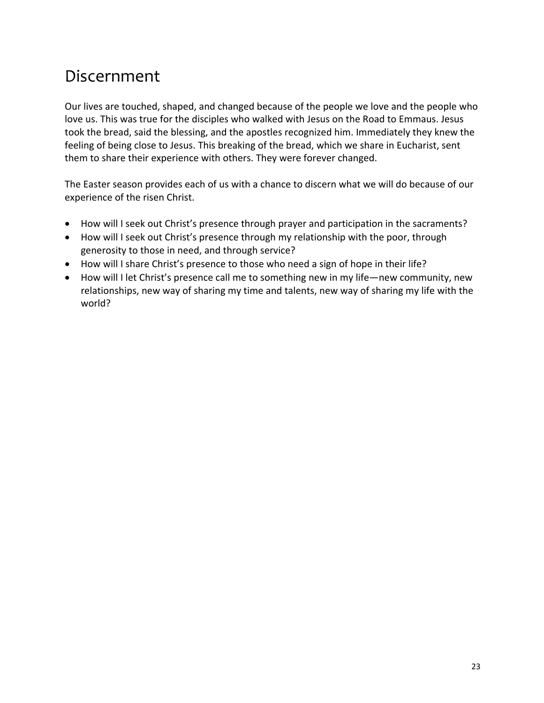#### Discernment

Our lives are touched, shaped, and changed because of the people we love and the people who love us. This was true for the disciples who walked with Jesus on the Road to Emmaus. Jesus took the bread, said the blessing, and the apostles recognized him. Immediately they knew the feeling of being close to Jesus. This breaking of the bread, which we share in Eucharist, sent them to share their experience with others. They were forever changed.

The Easter season provides each of us with a chance to discern what we will do because of our experience of the risen Christ.

- How will I seek out Christ's presence through prayer and participation in the sacraments?
- How will I seek out Christ's presence through my relationship with the poor, through generosity to those in need, and through service?
- How will I share Christ's presence to those who need a sign of hope in their life?
- How will I let Christ's presence call me to something new in my life—new community, new relationships, new way of sharing my time and talents, new way of sharing my life with the world?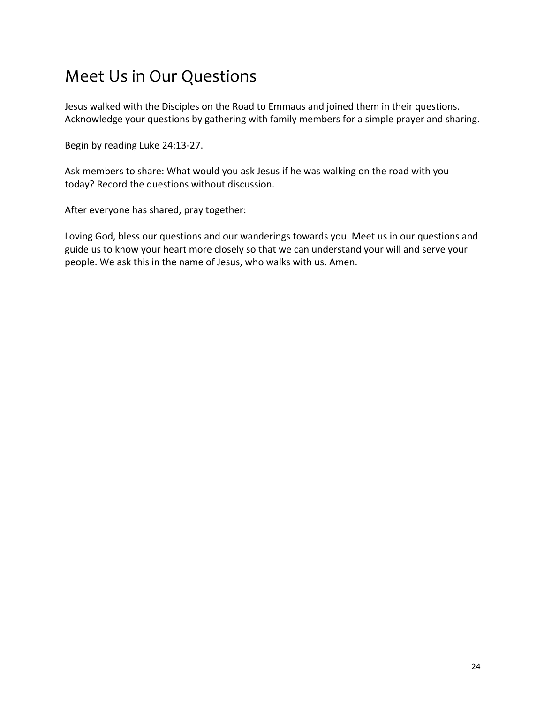### Meet Us in Our Questions

Jesus walked with the Disciples on the Road to Emmaus and joined them in their questions. Acknowledge your questions by gathering with family members for a simple prayer and sharing.

Begin by reading Luke 24:13-27.

Ask members to share: What would you ask Jesus if he was walking on the road with you today? Record the questions without discussion.

After everyone has shared, pray together:

Loving God, bless our questions and our wanderings towards you. Meet us in our questions and guide us to know your heart more closely so that we can understand your will and serve your people. We ask this in the name of Jesus, who walks with us. Amen.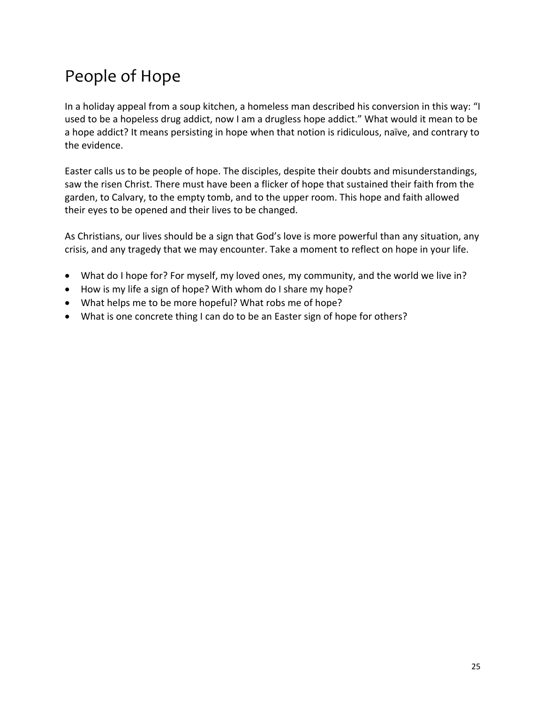# People of Hope

In a holiday appeal from a soup kitchen, a homeless man described his conversion in this way: "I used to be a hopeless drug addict, now I am a drugless hope addict." What would it mean to be a hope addict? It means persisting in hope when that notion is ridiculous, naïve, and contrary to the evidence.

Easter calls us to be people of hope. The disciples, despite their doubts and misunderstandings, saw the risen Christ. There must have been a flicker of hope that sustained their faith from the garden, to Calvary, to the empty tomb, and to the upper room. This hope and faith allowed their eyes to be opened and their lives to be changed.

As Christians, our lives should be a sign that God's love is more powerful than any situation, any crisis, and any tragedy that we may encounter. Take a moment to reflect on hope in your life.

- What do I hope for? For myself, my loved ones, my community, and the world we live in?
- How is my life a sign of hope? With whom do I share my hope?
- What helps me to be more hopeful? What robs me of hope?
- What is one concrete thing I can do to be an Easter sign of hope for others?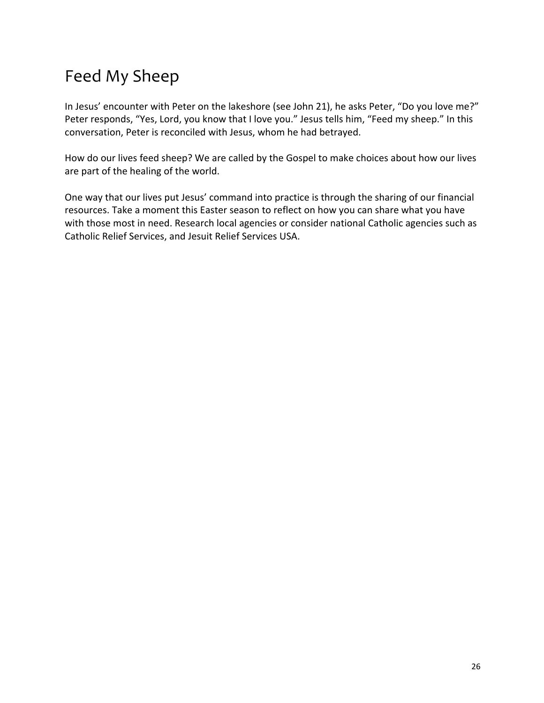# Feed My Sheep

In Jesus' encounter with Peter on the lakeshore (see John 21), he asks Peter, "Do you love me?" Peter responds, "Yes, Lord, you know that I love you." Jesus tells him, "Feed my sheep." In this conversation, Peter is reconciled with Jesus, whom he had betrayed.

How do our lives feed sheep? We are called by the Gospel to make choices about how our lives are part of the healing of the world.

One way that our lives put Jesus' command into practice is through the sharing of our financial resources. Take a moment this Easter season to reflect on how you can share what you have with those most in need. Research local agencies or consider national Catholic agencies such as Catholic Relief Services, and Jesuit Relief Services USA.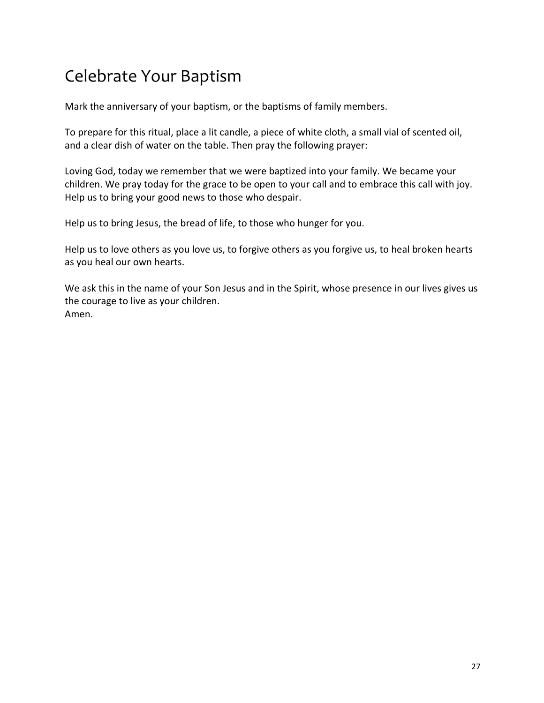# Celebrate Your Baptism

Mark the anniversary of your baptism, or the baptisms of family members.

To prepare for this ritual, place a lit candle, a piece of white cloth, a small vial of scented oil, and a clear dish of water on the table. Then pray the following prayer:

Loving God, today we remember that we were baptized into your family. We became your children. We pray today for the grace to be open to your call and to embrace this call with joy. Help us to bring your good news to those who despair.

Help us to bring Jesus, the bread of life, to those who hunger for you.

Help us to love others as you love us, to forgive others as you forgive us, to heal broken hearts as you heal our own hearts.

We ask this in the name of your Son Jesus and in the Spirit, whose presence in our lives gives us the courage to live as your children. Amen.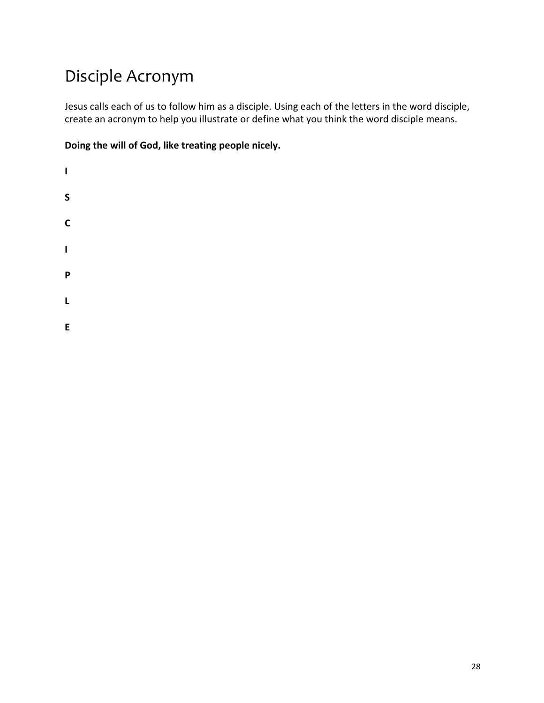# Disciple Acronym

Jesus calls each of us to follow him as a disciple. Using each of the letters in the word disciple, create an acronym to help you illustrate or define what you think the word disciple means.

**Doing the will of God, like treating people nicely.**

**I S C I P L**

**E**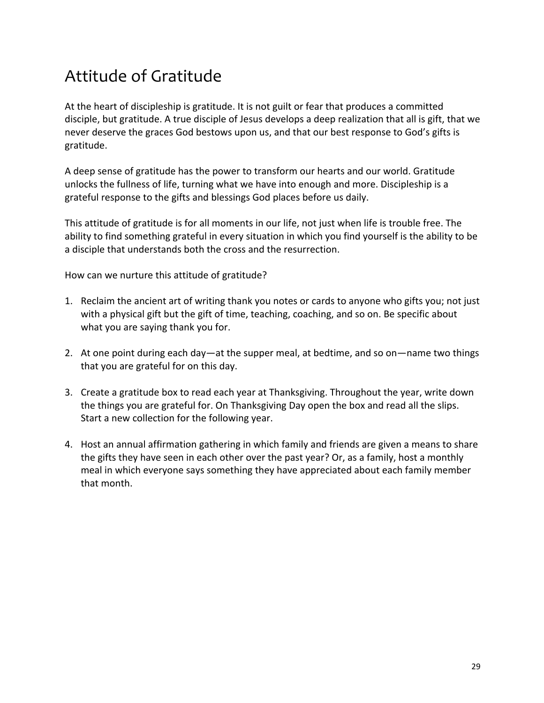## Attitude of Gratitude

At the heart of discipleship is gratitude. It is not guilt or fear that produces a committed disciple, but gratitude. A true disciple of Jesus develops a deep realization that all is gift, that we never deserve the graces God bestows upon us, and that our best response to God's gifts is gratitude.

A deep sense of gratitude has the power to transform our hearts and our world. Gratitude unlocks the fullness of life, turning what we have into enough and more. Discipleship is a grateful response to the gifts and blessings God places before us daily.

This attitude of gratitude is for all moments in our life, not just when life is trouble free. The ability to find something grateful in every situation in which you find yourself is the ability to be a disciple that understands both the cross and the resurrection.

How can we nurture this attitude of gratitude?

- 1. Reclaim the ancient art of writing thank you notes or cards to anyone who gifts you; not just with a physical gift but the gift of time, teaching, coaching, and so on. Be specific about what you are saying thank you for.
- 2. At one point during each day—at the supper meal, at bedtime, and so on—name two things that you are grateful for on this day.
- 3. Create a gratitude box to read each year at Thanksgiving. Throughout the year, write down the things you are grateful for. On Thanksgiving Day open the box and read all the slips. Start a new collection for the following year.
- 4. Host an annual affirmation gathering in which family and friends are given a means to share the gifts they have seen in each other over the past year? Or, as a family, host a monthly meal in which everyone says something they have appreciated about each family member that month.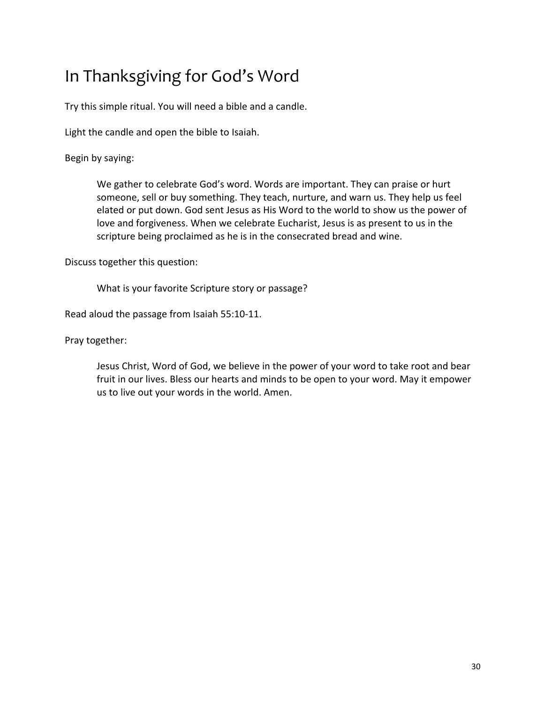# In Thanksgiving for God's Word

Try this simple ritual. You will need a bible and a candle.

Light the candle and open the bible to Isaiah.

Begin by saying:

We gather to celebrate God's word. Words are important. They can praise or hurt someone, sell or buy something. They teach, nurture, and warn us. They help us feel elated or put down. God sent Jesus as His Word to the world to show us the power of love and forgiveness. When we celebrate Eucharist, Jesus is as present to us in the scripture being proclaimed as he is in the consecrated bread and wine.

Discuss together this question:

What is your favorite Scripture story or passage?

Read aloud the passage from Isaiah 55:10-11.

Pray together:

Jesus Christ, Word of God, we believe in the power of your word to take root and bear fruit in our lives. Bless our hearts and minds to be open to your word. May it empower us to live out your words in the world. Amen.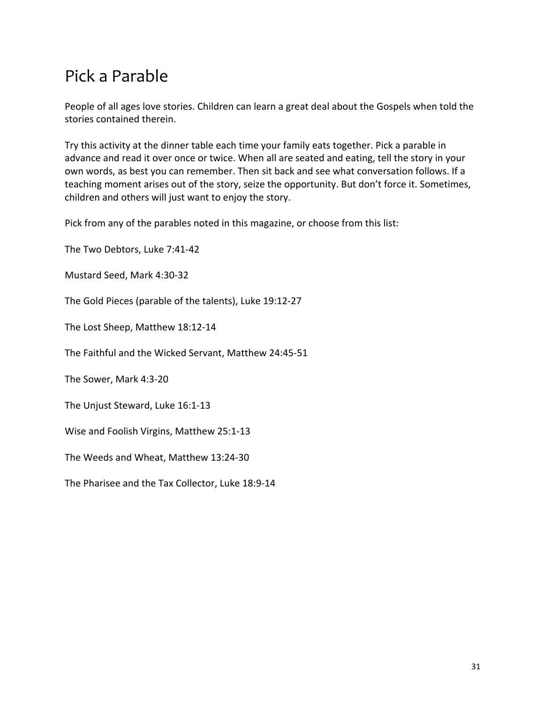### Pick a Parable

People of all ages love stories. Children can learn a great deal about the Gospels when told the stories contained therein.

Try this activity at the dinner table each time your family eats together. Pick a parable in advance and read it over once or twice. When all are seated and eating, tell the story in your own words, as best you can remember. Then sit back and see what conversation follows. If a teaching moment arises out of the story, seize the opportunity. But don't force it. Sometimes, children and others will just want to enjoy the story.

Pick from any of the parables noted in this magazine, or choose from this list:

The Two Debtors, Luke 7:41-42

Mustard Seed, Mark 4:30-32

The Gold Pieces (parable of the talents), Luke 19:12-27

The Lost Sheep, Matthew 18:12-14

The Faithful and the Wicked Servant, Matthew 24:45-51

The Sower, Mark 4:3-20

The Unjust Steward, Luke 16:1-13

Wise and Foolish Virgins, Matthew 25:1-13

The Weeds and Wheat, Matthew 13:24-30

The Pharisee and the Tax Collector, Luke 18:9-14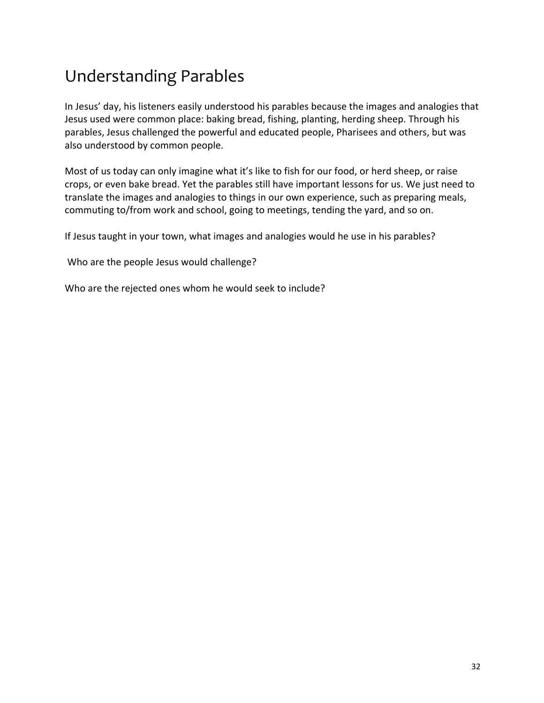# Understanding Parables

In Jesus' day, his listeners easily understood his parables because the images and analogies that Jesus used were common place: baking bread, fishing, planting, herding sheep. Through his parables, Jesus challenged the powerful and educated people, Pharisees and others, but was also understood by common people.

Most of us today can only imagine what it's like to fish for our food, or herd sheep, or raise crops, or even bake bread. Yet the parables still have important lessons for us. We just need to translate the images and analogies to things in our own experience, such as preparing meals, commuting to/from work and school, going to meetings, tending the yard, and so on.

If Jesus taught in your town, what images and analogies would he use in his parables?

Who are the people Jesus would challenge?

Who are the rejected ones whom he would seek to include?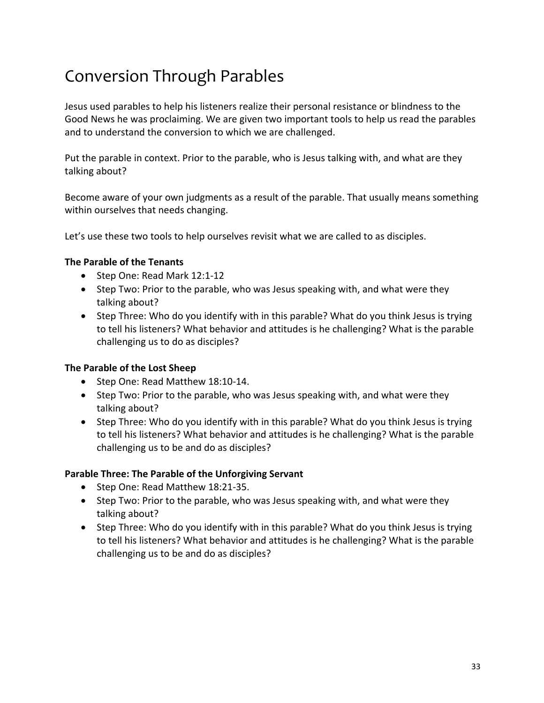# Conversion Through Parables

Jesus used parables to help his listeners realize their personal resistance or blindness to the Good News he was proclaiming. We are given two important tools to help us read the parables and to understand the conversion to which we are challenged.

Put the parable in context. Prior to the parable, who is Jesus talking with, and what are they talking about?

Become aware of your own judgments as a result of the parable. That usually means something within ourselves that needs changing.

Let's use these two tools to help ourselves revisit what we are called to as disciples.

#### **The Parable of the Tenants**

- Step One: Read Mark 12:1-12
- Step Two: Prior to the parable, who was Jesus speaking with, and what were they talking about?
- Step Three: Who do you identify with in this parable? What do you think Jesus is trying to tell his listeners? What behavior and attitudes is he challenging? What is the parable challenging us to do as disciples?

#### **The Parable of the Lost Sheep**

- Step One: Read Matthew 18:10-14.
- Step Two: Prior to the parable, who was Jesus speaking with, and what were they talking about?
- Step Three: Who do you identify with in this parable? What do you think Jesus is trying to tell his listeners? What behavior and attitudes is he challenging? What is the parable challenging us to be and do as disciples?

#### **Parable Three: The Parable of the Unforgiving Servant**

- Step One: Read Matthew 18:21-35.
- Step Two: Prior to the parable, who was Jesus speaking with, and what were they talking about?
- Step Three: Who do you identify with in this parable? What do you think Jesus is trying to tell his listeners? What behavior and attitudes is he challenging? What is the parable challenging us to be and do as disciples?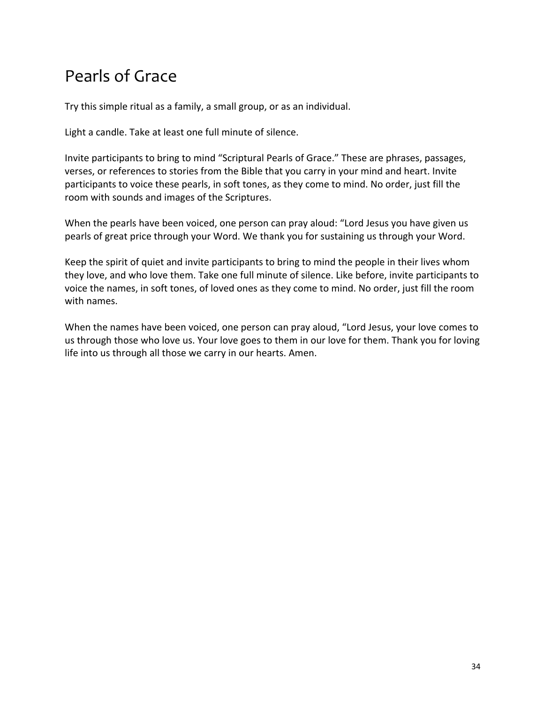## Pearls of Grace

Try this simple ritual as a family, a small group, or as an individual.

Light a candle. Take at least one full minute of silence.

Invite participants to bring to mind "Scriptural Pearls of Grace." These are phrases, passages, verses, or references to stories from the Bible that you carry in your mind and heart. Invite participants to voice these pearls, in soft tones, as they come to mind. No order, just fill the room with sounds and images of the Scriptures.

When the pearls have been voiced, one person can pray aloud: "Lord Jesus you have given us pearls of great price through your Word. We thank you for sustaining us through your Word.

Keep the spirit of quiet and invite participants to bring to mind the people in their lives whom they love, and who love them. Take one full minute of silence. Like before, invite participants to voice the names, in soft tones, of loved ones as they come to mind. No order, just fill the room with names.

When the names have been voiced, one person can pray aloud, "Lord Jesus, your love comes to us through those who love us. Your love goes to them in our love for them. Thank you for loving life into us through all those we carry in our hearts. Amen.